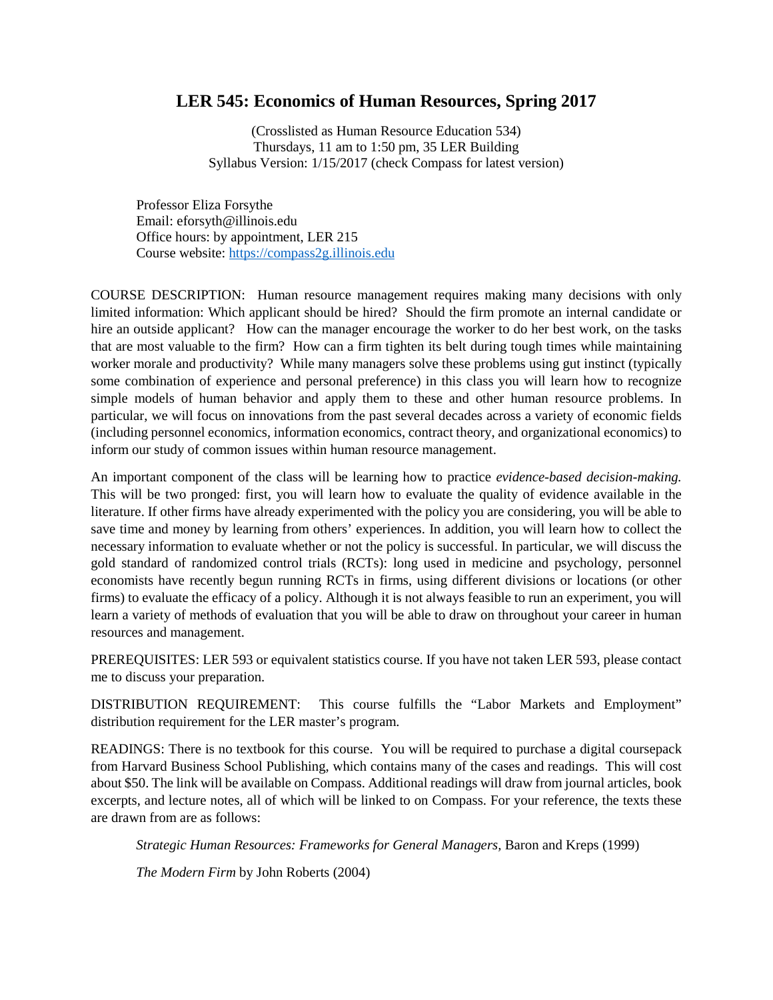#### **LER 545: Economics of Human Resources, Spring 2017**

(Crosslisted as Human Resource Education 534) Thursdays, 11 am to 1:50 pm, 35 LER Building Syllabus Version: 1/15/2017 (check Compass for latest version)

Professor Eliza Forsythe Email: eforsyth@illinois.edu Office hours: by appointment, LER 215 Course website: [https://compass2g.illinois.edu](https://compass2g.illinois.edu/)

COURSE DESCRIPTION: Human resource management requires making many decisions with only limited information: Which applicant should be hired? Should the firm promote an internal candidate or hire an outside applicant? How can the manager encourage the worker to do her best work, on the tasks that are most valuable to the firm? How can a firm tighten its belt during tough times while maintaining worker morale and productivity? While many managers solve these problems using gut instinct (typically some combination of experience and personal preference) in this class you will learn how to recognize simple models of human behavior and apply them to these and other human resource problems. In particular, we will focus on innovations from the past several decades across a variety of economic fields (including personnel economics, information economics, contract theory, and organizational economics) to inform our study of common issues within human resource management.

An important component of the class will be learning how to practice *evidence-based decision-making.*  This will be two pronged: first, you will learn how to evaluate the quality of evidence available in the literature. If other firms have already experimented with the policy you are considering, you will be able to save time and money by learning from others' experiences. In addition, you will learn how to collect the necessary information to evaluate whether or not the policy is successful. In particular, we will discuss the gold standard of randomized control trials (RCTs): long used in medicine and psychology, personnel economists have recently begun running RCTs in firms, using different divisions or locations (or other firms) to evaluate the efficacy of a policy. Although it is not always feasible to run an experiment, you will learn a variety of methods of evaluation that you will be able to draw on throughout your career in human resources and management.

PREREQUISITES: LER 593 or equivalent statistics course. If you have not taken LER 593, please contact me to discuss your preparation.

DISTRIBUTION REQUIREMENT: This course fulfills the "Labor Markets and Employment" distribution requirement for the LER master's program.

READINGS: There is no textbook for this course. You will be required to purchase a digital coursepack from Harvard Business School Publishing, which contains many of the cases and readings. This will cost about \$50. The link will be available on Compass. Additional readings will draw from journal articles, book excerpts, and lecture notes, all of which will be linked to on Compass. For your reference, the texts these are drawn from are as follows:

*Strategic Human Resources: Frameworks for General Managers,* Baron and Kreps (1999)

*The Modern Firm* by John Roberts (2004)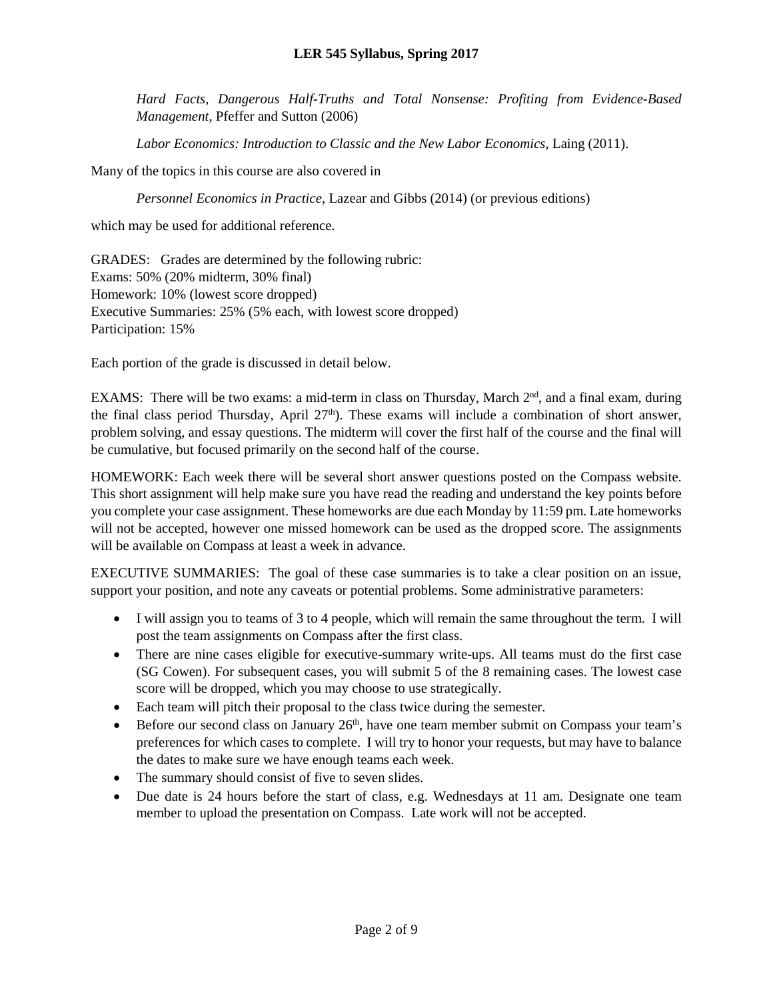*Hard Facts, Dangerous Half-Truths and Total Nonsense: Profiting from Evidence-Based Management*, Pfeffer and Sutton (2006)

*Labor Economics: Introduction to Classic and the New Labor Economics*, Laing (2011).

Many of the topics in this course are also covered in

*Personnel Economics in Practice,* Lazear and Gibbs (2014) (or previous editions)

which may be used for additional reference.

GRADES: Grades are determined by the following rubric: Exams: 50% (20% midterm, 30% final) Homework: 10% (lowest score dropped) Executive Summaries: 25% (5% each, with lowest score dropped) Participation: 15%

Each portion of the grade is discussed in detail below.

EXAMS: There will be two exams: a mid-term in class on Thursday, March  $2<sup>nd</sup>$ , and a final exam, during the final class period Thursday, April 27<sup>th</sup>). These exams will include a combination of short answer, problem solving, and essay questions. The midterm will cover the first half of the course and the final will be cumulative, but focused primarily on the second half of the course.

HOMEWORK: Each week there will be several short answer questions posted on the Compass website. This short assignment will help make sure you have read the reading and understand the key points before you complete your case assignment. These homeworks are due each Monday by 11:59 pm. Late homeworks will not be accepted, however one missed homework can be used as the dropped score. The assignments will be available on Compass at least a week in advance.

EXECUTIVE SUMMARIES: The goal of these case summaries is to take a clear position on an issue, support your position, and note any caveats or potential problems. Some administrative parameters:

- I will assign you to teams of 3 to 4 people, which will remain the same throughout the term. I will post the team assignments on Compass after the first class.
- There are nine cases eligible for executive-summary write-ups. All teams must do the first case (SG Cowen). For subsequent cases, you will submit 5 of the 8 remaining cases. The lowest case score will be dropped, which you may choose to use strategically.
- Each team will pitch their proposal to the class twice during the semester.
- Before our second class on January  $26<sup>th</sup>$ , have one team member submit on Compass your team's preferences for which cases to complete. I will try to honor your requests, but may have to balance the dates to make sure we have enough teams each week.
- The summary should consist of five to seven slides.
- Due date is 24 hours before the start of class, e.g. Wednesdays at 11 am. Designate one team member to upload the presentation on Compass. Late work will not be accepted.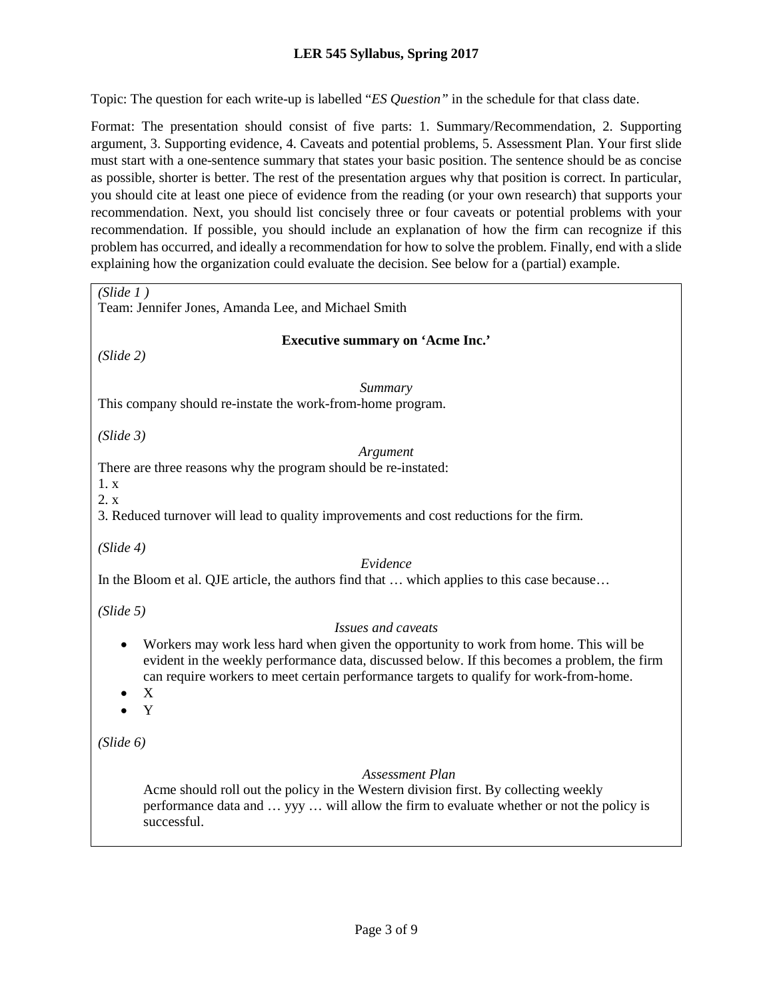#### **LER 545 Syllabus, Spring 2017**

Topic: The question for each write-up is labelled "*ES Question"* in the schedule for that class date.

Format: The presentation should consist of five parts: 1. Summary/Recommendation, 2. Supporting argument, 3. Supporting evidence, 4. Caveats and potential problems, 5. Assessment Plan. Your first slide must start with a one-sentence summary that states your basic position. The sentence should be as concise as possible, shorter is better. The rest of the presentation argues why that position is correct. In particular, you should cite at least one piece of evidence from the reading (or your own research) that supports your recommendation. Next, you should list concisely three or four caveats or potential problems with your recommendation. If possible, you should include an explanation of how the firm can recognize if this problem has occurred, and ideally a recommendation for how to solve the problem. Finally, end with a slide explaining how the organization could evaluate the decision. See below for a (partial) example.

| (Slide 1)<br>Team: Jennifer Jones, Amanda Lee, and Michael Smith                                                                                                                                                                                                                                                             |
|------------------------------------------------------------------------------------------------------------------------------------------------------------------------------------------------------------------------------------------------------------------------------------------------------------------------------|
| <b>Executive summary on 'Acme Inc.'</b><br>(Slide 2)                                                                                                                                                                                                                                                                         |
| Summary<br>This company should re-instate the work-from-home program.                                                                                                                                                                                                                                                        |
| (Slide 3)<br>Argument<br>There are three reasons why the program should be re-instated:<br>1. x<br>2. x<br>3. Reduced turnover will lead to quality improvements and cost reductions for the firm.                                                                                                                           |
| (Slide 4)<br>Evidence<br>In the Bloom et al. QJE article, the authors find that  which applies to this case because                                                                                                                                                                                                          |
| (Slide 5)<br>Issues and caveats<br>Workers may work less hard when given the opportunity to work from home. This will be<br>evident in the weekly performance data, discussed below. If this becomes a problem, the firm<br>can require workers to meet certain performance targets to qualify for work-from-home.<br>X<br>Y |
| (Slide 6)<br>Assessment Plan<br>Acme should roll out the policy in the Western division first. By collecting weekly<br>performance data and  yyy  will allow the firm to evaluate whether or not the policy is<br>successful.                                                                                                |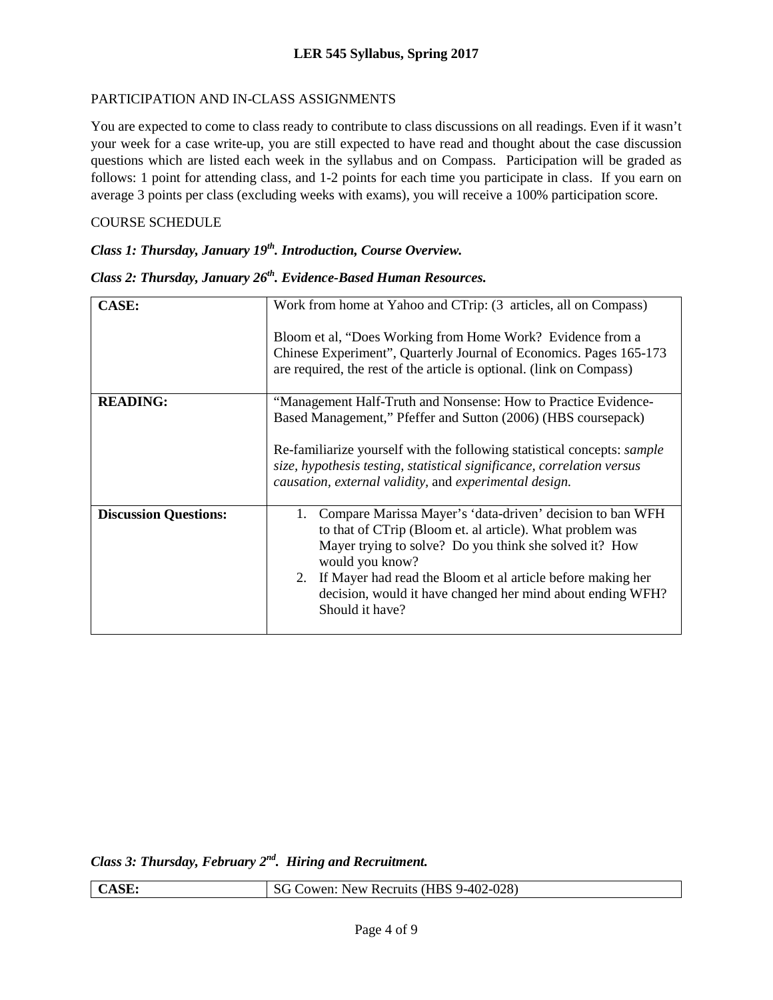#### PARTICIPATION AND IN-CLASS ASSIGNMENTS

You are expected to come to class ready to contribute to class discussions on all readings. Even if it wasn't your week for a case write-up, you are still expected to have read and thought about the case discussion questions which are listed each week in the syllabus and on Compass. Participation will be graded as follows: 1 point for attending class, and 1-2 points for each time you participate in class. If you earn on average 3 points per class (excluding weeks with exams), you will receive a 100% participation score.

#### COURSE SCHEDULE

### *Class 1: Thursday, January 19<sup>th</sup>. Introduction, Course Overview.*

### *Class 2: Thursday, January 26th. Evidence-Based Human Resources.*

| <b>CASE:</b>                 | Work from home at Yahoo and CTrip: (3 articles, all on Compass)                                                                                                                                                                                                                                                                                              |
|------------------------------|--------------------------------------------------------------------------------------------------------------------------------------------------------------------------------------------------------------------------------------------------------------------------------------------------------------------------------------------------------------|
|                              | Bloom et al, "Does Working from Home Work? Evidence from a                                                                                                                                                                                                                                                                                                   |
|                              | Chinese Experiment", Quarterly Journal of Economics. Pages 165-173<br>are required, the rest of the article is optional. (link on Compass)                                                                                                                                                                                                                   |
| <b>READING:</b>              | "Management Half-Truth and Nonsense: How to Practice Evidence-                                                                                                                                                                                                                                                                                               |
|                              | Based Management," Pfeffer and Sutton (2006) (HBS coursepack)                                                                                                                                                                                                                                                                                                |
|                              | Re-familiarize yourself with the following statistical concepts: <i>sample</i><br>size, hypothesis testing, statistical significance, correlation versus<br>causation, external validity, and experimental design.                                                                                                                                           |
| <b>Discussion Questions:</b> | Compare Marissa Mayer's 'data-driven' decision to ban WFH<br>1.<br>to that of CTrip (Bloom et. al article). What problem was<br>Mayer trying to solve? Do you think she solved it? How<br>would you know?<br>2. If Mayer had read the Bloom et al article before making her<br>decision, would it have changed her mind about ending WFH?<br>Should it have? |

*Class 3: Thursday, February 2nd. Hiring and Recruitment.*

| <b>CASE:</b> | SG Cowen: New Recruits (HBS 9-402-028) |
|--------------|----------------------------------------|
|              |                                        |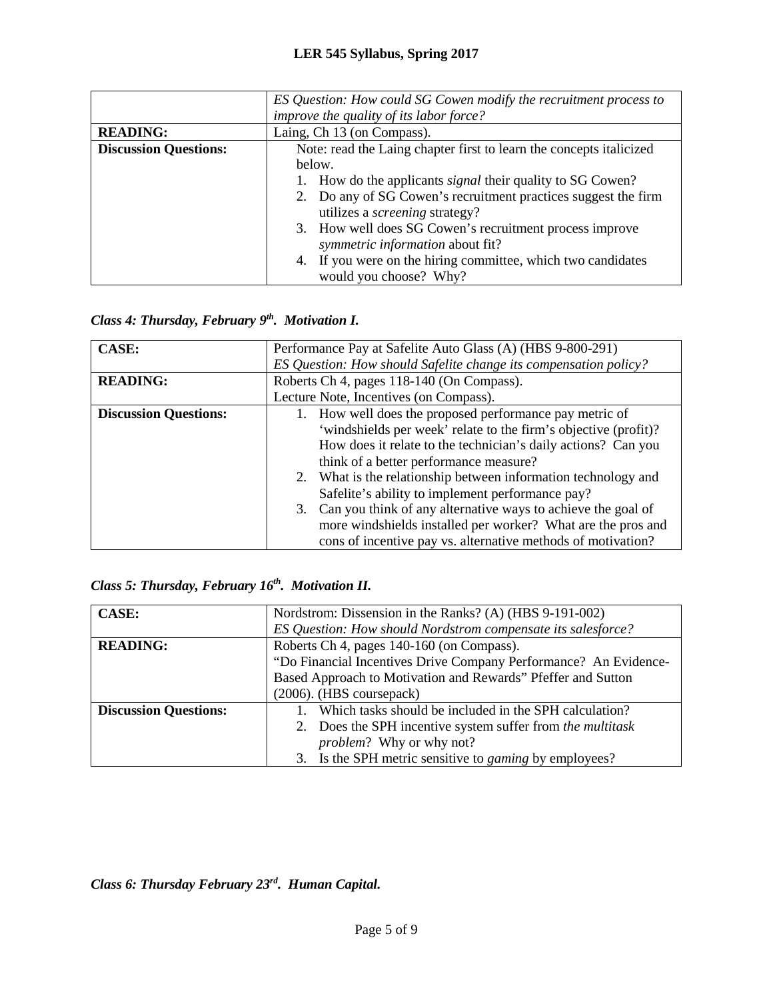|                              | ES Question: How could SG Cowen modify the recruitment process to   |
|------------------------------|---------------------------------------------------------------------|
|                              | improve the quality of its labor force?                             |
| <b>READING:</b>              | Laing, Ch 13 (on Compass).                                          |
| <b>Discussion Questions:</b> | Note: read the Laing chapter first to learn the concepts italicized |
|                              | below.                                                              |
|                              | How do the applicants <i>signal</i> their quality to SG Cowen?      |
|                              | 2. Do any of SG Cowen's recruitment practices suggest the firm      |
|                              | utilizes a <i>screening</i> strategy?                               |
|                              | 3. How well does SG Cowen's recruitment process improve             |
|                              | symmetric information about fit?                                    |
|                              | If you were on the hiring committee, which two candidates<br>4.     |
|                              | would you choose? Why?                                              |

## *Class 4: Thursday, February 9th. Motivation I.*

| <b>CASE:</b>                 | Performance Pay at Safelite Auto Glass (A) (HBS 9-800-291)         |
|------------------------------|--------------------------------------------------------------------|
|                              | ES Question: How should Safelite change its compensation policy?   |
| <b>READING:</b>              | Roberts Ch 4, pages 118-140 (On Compass).                          |
|                              | Lecture Note, Incentives (on Compass).                             |
| <b>Discussion Questions:</b> | 1. How well does the proposed performance pay metric of            |
|                              | 'windshields per week' relate to the firm's objective (profit)?    |
|                              | How does it relate to the technician's daily actions? Can you      |
|                              | think of a better performance measure?                             |
|                              | 2. What is the relationship between information technology and     |
|                              | Safelite's ability to implement performance pay?                   |
|                              | Can you think of any alternative ways to achieve the goal of<br>3. |
|                              | more windshields installed per worker? What are the pros and       |
|                              | cons of incentive pay vs. alternative methods of motivation?       |

### *Class 5: Thursday, February 16th. Motivation II.*

| <b>CASE:</b>                 | Nordstrom: Dissension in the Ranks? (A) (HBS 9-191-002)          |
|------------------------------|------------------------------------------------------------------|
|                              | ES Question: How should Nordstrom compensate its salesforce?     |
| <b>READING:</b>              | Roberts Ch 4, pages 140-160 (on Compass).                        |
|                              | "Do Financial Incentives Drive Company Performance? An Evidence- |
|                              | Based Approach to Motivation and Rewards" Pfeffer and Sutton     |
|                              | (2006). (HBS coursepack)                                         |
| <b>Discussion Questions:</b> | Which tasks should be included in the SPH calculation?           |
|                              | 2. Does the SPH incentive system suffer from the multitask       |
|                              | <i>problem?</i> Why or why not?                                  |
|                              | 3. Is the SPH metric sensitive to <i>gaming</i> by employees?    |

*Class 6: Thursday February 23rd. Human Capital.*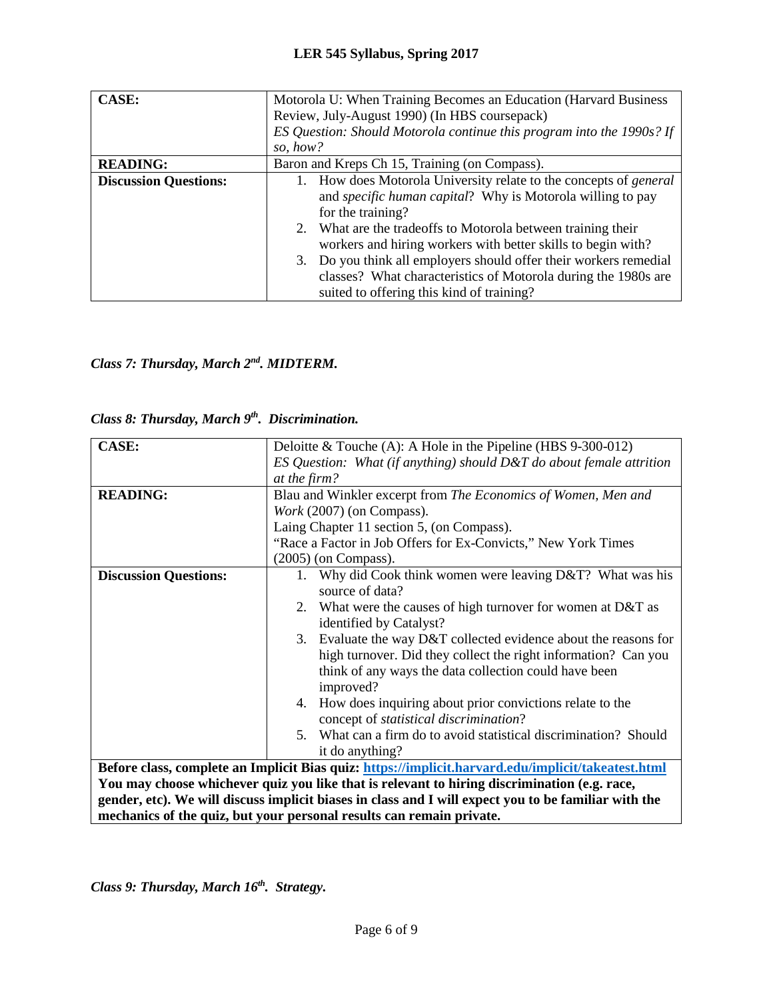| <b>CASE:</b>                 | Motorola U: When Training Becomes an Education (Harvard Business      |  |
|------------------------------|-----------------------------------------------------------------------|--|
|                              | Review, July-August 1990) (In HBS coursepack)                         |  |
|                              | ES Question: Should Motorola continue this program into the 1990s? If |  |
|                              | so, how?                                                              |  |
| <b>READING:</b>              | Baron and Kreps Ch 15, Training (on Compass).                         |  |
| <b>Discussion Questions:</b> | How does Motorola University relate to the concepts of <i>general</i> |  |
|                              | and specific human capital? Why is Motorola willing to pay            |  |
|                              | for the training?                                                     |  |
|                              | 2. What are the tradeoffs to Motorola between training their          |  |
|                              | workers and hiring workers with better skills to begin with?          |  |
|                              | 3. Do you think all employers should offer their workers remedial     |  |
|                              | classes? What characteristics of Motorola during the 1980s are        |  |
|                              | suited to offering this kind of training?                             |  |

## *Class 7: Thursday, March 2nd. MIDTERM.*

|  |  |  | Class 8: Thursday, March 9 <sup>th</sup> . Discrimination. |
|--|--|--|------------------------------------------------------------|
|--|--|--|------------------------------------------------------------|

| <b>CASE:</b>                 | Deloitte & Touche (A): A Hole in the Pipeline (HBS $9-300-012$ )                                     |
|------------------------------|------------------------------------------------------------------------------------------------------|
|                              | ES Question: What (if anything) should $D\&T$ do about female attrition                              |
|                              | at the firm?                                                                                         |
| <b>READING:</b>              | Blau and Winkler excerpt from The Economics of Women, Men and                                        |
|                              | Work (2007) (on Compass).                                                                            |
|                              | Laing Chapter 11 section 5, (on Compass).                                                            |
|                              | "Race a Factor in Job Offers for Ex-Convicts," New York Times                                        |
|                              | $(2005)$ (on Compass).                                                                               |
| <b>Discussion Questions:</b> | Why did Cook think women were leaving D&T? What was his<br>1.                                        |
|                              | source of data?                                                                                      |
|                              | 2. What were the causes of high turnover for women at D&T as                                         |
|                              | identified by Catalyst?                                                                              |
|                              | 3. Evaluate the way D&T collected evidence about the reasons for                                     |
|                              | high turnover. Did they collect the right information? Can you                                       |
|                              | think of any ways the data collection could have been                                                |
|                              | improved?                                                                                            |
|                              | 4. How does inquiring about prior convictions relate to the                                          |
|                              | concept of <i>statistical discrimination</i> ?                                                       |
|                              | 5. What can a firm do to avoid statistical discrimination? Should                                    |
|                              | it do anything?                                                                                      |
|                              | Before class, complete an Implicit Bias quiz: https://implicit.harvard.edu/implicit/takeatest.html   |
|                              | You may choose whichever quiz you like that is relevant to hiring discrimination (e.g. race,         |
|                              | gender, etc). We will discuss implicit biases in class and I will expect you to be familiar with the |
|                              | mechanics of the quiz, but your personal results can remain private.                                 |

*Class 9: Thursday, March 16th. Strategy.*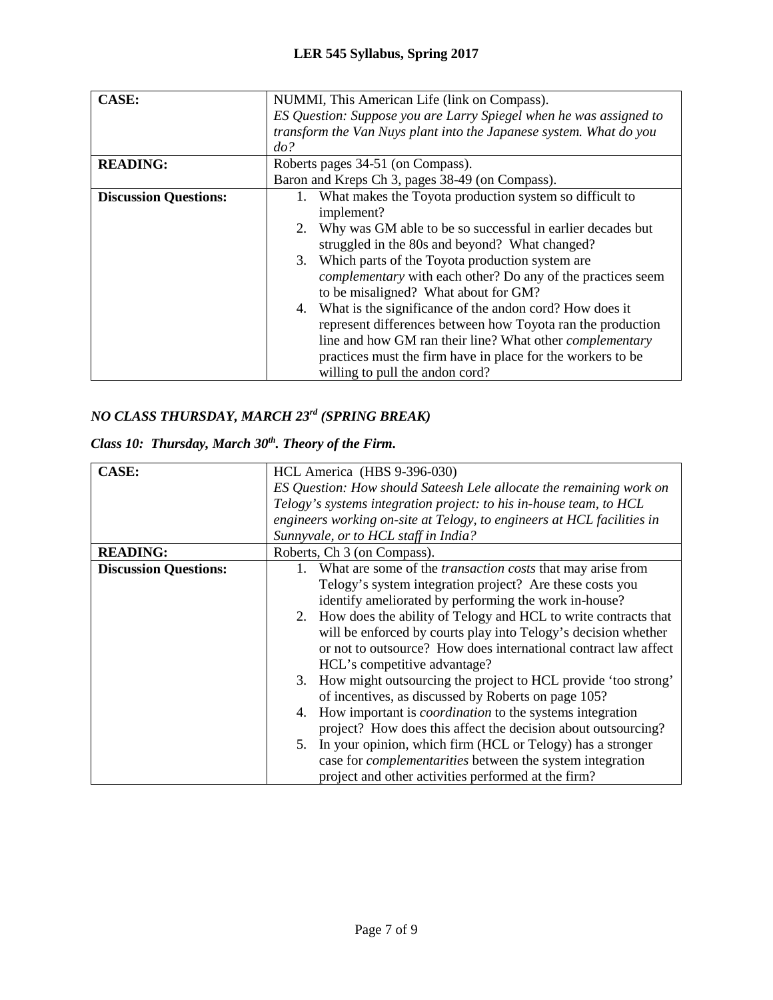| <b>CASE:</b>                 | NUMMI, This American Life (link on Compass).                       |  |
|------------------------------|--------------------------------------------------------------------|--|
|                              | ES Question: Suppose you are Larry Spiegel when he was assigned to |  |
|                              | transform the Van Nuys plant into the Japanese system. What do you |  |
|                              | do?                                                                |  |
| <b>READING:</b>              | Roberts pages 34-51 (on Compass).                                  |  |
|                              | Baron and Kreps Ch 3, pages 38-49 (on Compass).                    |  |
| <b>Discussion Questions:</b> | 1. What makes the Toyota production system so difficult to         |  |
|                              | implement?                                                         |  |
|                              | 2. Why was GM able to be so successful in earlier decades but      |  |
|                              | struggled in the 80s and beyond? What changed?                     |  |
|                              | 3. Which parts of the Toyota production system are                 |  |
|                              | <i>complementary</i> with each other? Do any of the practices seem |  |
|                              | to be misaligned? What about for GM?                               |  |
|                              | What is the significance of the andon cord? How does it<br>4.      |  |
|                              | represent differences between how Toyota ran the production        |  |
|                              | line and how GM ran their line? What other <i>complementary</i>    |  |
|                              | practices must the firm have in place for the workers to be        |  |
|                              | willing to pull the andon cord?                                    |  |

# *NO CLASS THURSDAY, MARCH 23rd (SPRING BREAK)*

## *Class 10: Thursday, March 30th. Theory of the Firm.*

| <b>CASE:</b>                 | HCL America (HBS 9-396-030)                                             |
|------------------------------|-------------------------------------------------------------------------|
|                              | ES Question: How should Sateesh Lele allocate the remaining work on     |
|                              | Telogy's systems integration project: to his in-house team, to HCL      |
|                              | engineers working on-site at Telogy, to engineers at HCL facilities in  |
|                              | Sunnyvale, or to HCL staff in India?                                    |
| <b>READING:</b>              | Roberts, Ch 3 (on Compass).                                             |
| <b>Discussion Questions:</b> | What are some of the <i>transaction costs</i> that may arise from<br>1. |
|                              | Telogy's system integration project? Are these costs you                |
|                              | identify ameliorated by performing the work in-house?                   |
|                              | 2. How does the ability of Telogy and HCL to write contracts that       |
|                              | will be enforced by courts play into Telogy's decision whether          |
|                              | or not to outsource? How does international contract law affect         |
|                              | HCL's competitive advantage?                                            |
|                              | 3. How might outsourcing the project to HCL provide 'too strong'        |
|                              | of incentives, as discussed by Roberts on page 105?                     |
|                              | How important is <i>coordination</i> to the systems integration<br>4.   |
|                              | project? How does this affect the decision about outsourcing?           |
|                              | 5. In your opinion, which firm (HCL or Telogy) has a stronger           |
|                              | case for <i>complementarities</i> between the system integration        |
|                              | project and other activities performed at the firm?                     |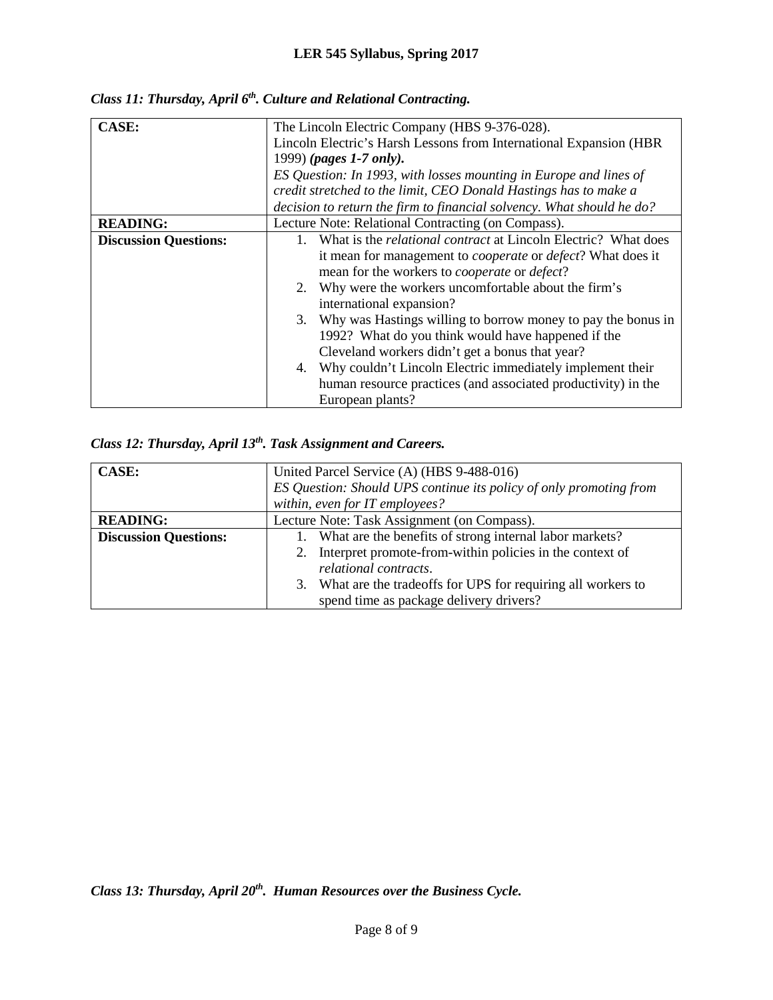| <b>CASE:</b>                 | The Lincoln Electric Company (HBS 9-376-028).                              |  |
|------------------------------|----------------------------------------------------------------------------|--|
|                              | Lincoln Electric's Harsh Lessons from International Expansion (HBR         |  |
|                              | 1999) (pages 1-7 only).                                                    |  |
|                              | ES Question: In 1993, with losses mounting in Europe and lines of          |  |
|                              | credit stretched to the limit, CEO Donald Hastings has to make a           |  |
|                              | decision to return the firm to financial solvency. What should he do?      |  |
| <b>READING:</b>              | Lecture Note: Relational Contracting (on Compass).                         |  |
| <b>Discussion Questions:</b> | What is the <i>relational contract</i> at Lincoln Electric? What does      |  |
|                              | it mean for management to <i>cooperate</i> or <i>defect</i> ? What does it |  |
|                              | mean for the workers to <i>cooperate</i> or <i>defect</i> ?                |  |
|                              | Why were the workers uncomfortable about the firm's<br>2.                  |  |
|                              | international expansion?                                                   |  |
|                              | 3. Why was Hastings willing to borrow money to pay the bonus in            |  |
|                              | 1992? What do you think would have happened if the                         |  |
|                              | Cleveland workers didn't get a bonus that year?                            |  |
|                              | Why couldn't Lincoln Electric immediately implement their<br>4.            |  |
|                              | human resource practices (and associated productivity) in the              |  |
|                              | European plants?                                                           |  |

*Class 11: Thursday, April 6th. Culture and Relational Contracting.*

## *Class 12: Thursday, April 13th. Task Assignment and Careers.*

| CASE:                        | United Parcel Service (A) (HBS 9-488-016)                          |
|------------------------------|--------------------------------------------------------------------|
|                              | ES Question: Should UPS continue its policy of only promoting from |
|                              | within, even for IT employees?                                     |
| <b>READING:</b>              | Lecture Note: Task Assignment (on Compass).                        |
| <b>Discussion Questions:</b> | What are the benefits of strong internal labor markets?            |
|                              | Interpret promote-from-within policies in the context of           |
|                              | relational contracts.                                              |
|                              | What are the tradeoffs for UPS for requiring all workers to<br>3.  |
|                              | spend time as package delivery drivers?                            |